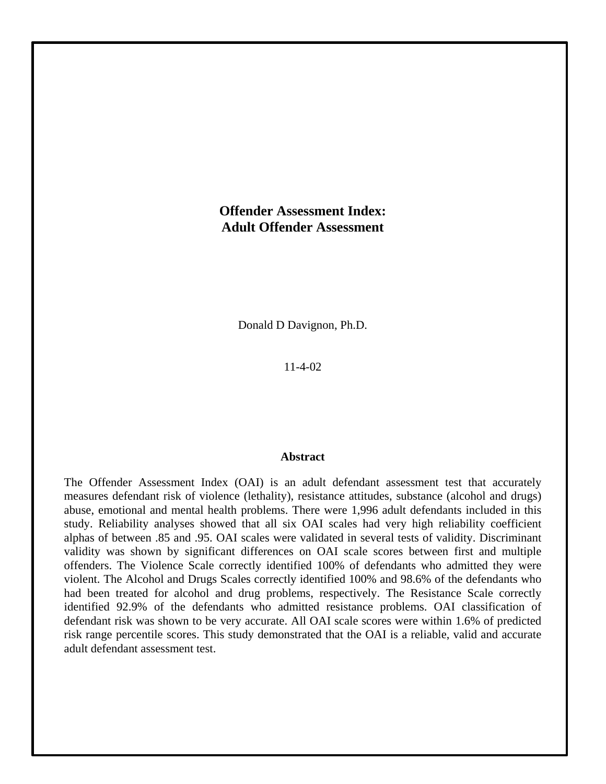# **Offender Assessment Index: Adult Offender Assessment**

Donald D Davignon, Ph.D.

11-4-02

## **Abstract**

The Offender Assessment Index (OAI) is an adult defendant assessment test that accurately measures defendant risk of violence (lethality), resistance attitudes, substance (alcohol and drugs) abuse, emotional and mental health problems. There were 1,996 adult defendants included in this study. Reliability analyses showed that all six OAI scales had very high reliability coefficient alphas of between .85 and .95. OAI scales were validated in several tests of validity. Discriminant validity was shown by significant differences on OAI scale scores between first and multiple offenders. The Violence Scale correctly identified 100% of defendants who admitted they were violent. The Alcohol and Drugs Scales correctly identified 100% and 98.6% of the defendants who had been treated for alcohol and drug problems, respectively. The Resistance Scale correctly identified 92.9% of the defendants who admitted resistance problems. OAI classification of defendant risk was shown to be very accurate. All OAI scale scores were within 1.6% of predicted risk range percentile scores. This study demonstrated that the OAI is a reliable, valid and accurate adult defendant assessment test.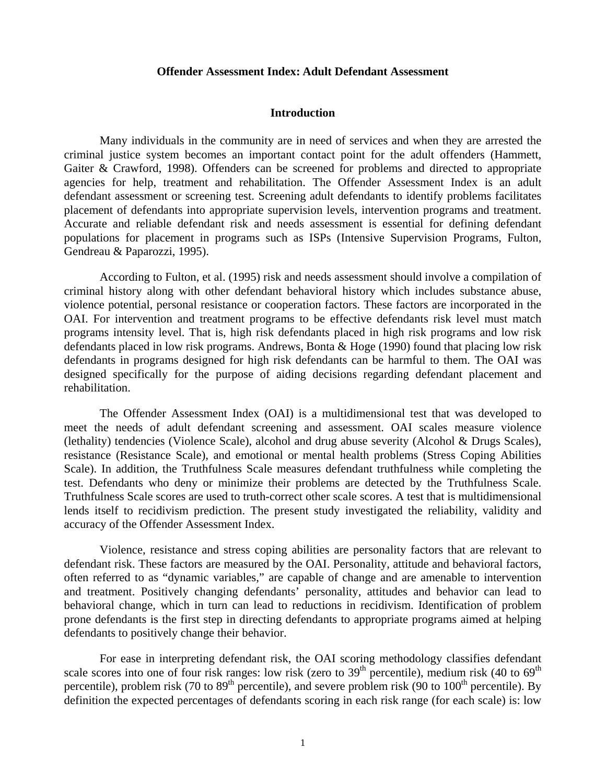## **Offender Assessment Index: Adult Defendant Assessment**

#### **Introduction**

Many individuals in the community are in need of services and when they are arrested the criminal justice system becomes an important contact point for the adult offenders (Hammett, Gaiter & Crawford, 1998). Offenders can be screened for problems and directed to appropriate agencies for help, treatment and rehabilitation. The Offender Assessment Index is an adult defendant assessment or screening test. Screening adult defendants to identify problems facilitates placement of defendants into appropriate supervision levels, intervention programs and treatment. Accurate and reliable defendant risk and needs assessment is essential for defining defendant populations for placement in programs such as ISPs (Intensive Supervision Programs, Fulton, Gendreau & Paparozzi, 1995).

According to Fulton, et al. (1995) risk and needs assessment should involve a compilation of criminal history along with other defendant behavioral history which includes substance abuse, violence potential, personal resistance or cooperation factors. These factors are incorporated in the OAI. For intervention and treatment programs to be effective defendants risk level must match programs intensity level. That is, high risk defendants placed in high risk programs and low risk defendants placed in low risk programs. Andrews, Bonta & Hoge (1990) found that placing low risk defendants in programs designed for high risk defendants can be harmful to them. The OAI was designed specifically for the purpose of aiding decisions regarding defendant placement and rehabilitation.

 The Offender Assessment Index (OAI) is a multidimensional test that was developed to meet the needs of adult defendant screening and assessment. OAI scales measure violence (lethality) tendencies (Violence Scale), alcohol and drug abuse severity (Alcohol & Drugs Scales), resistance (Resistance Scale), and emotional or mental health problems (Stress Coping Abilities Scale). In addition, the Truthfulness Scale measures defendant truthfulness while completing the test. Defendants who deny or minimize their problems are detected by the Truthfulness Scale. Truthfulness Scale scores are used to truth-correct other scale scores. A test that is multidimensional lends itself to recidivism prediction. The present study investigated the reliability, validity and accuracy of the Offender Assessment Index.

Violence, resistance and stress coping abilities are personality factors that are relevant to defendant risk. These factors are measured by the OAI. Personality, attitude and behavioral factors, often referred to as "dynamic variables," are capable of change and are amenable to intervention and treatment. Positively changing defendants' personality, attitudes and behavior can lead to behavioral change, which in turn can lead to reductions in recidivism. Identification of problem prone defendants is the first step in directing defendants to appropriate programs aimed at helping defendants to positively change their behavior.

For ease in interpreting defendant risk, the OAI scoring methodology classifies defendant scale scores into one of four risk ranges: low risk (zero to  $39<sup>th</sup>$  percentile), medium risk (40 to  $69<sup>th</sup>$ percentile), problem risk (70 to  $89<sup>th</sup>$  percentile), and severe problem risk (90 to  $100<sup>th</sup>$  percentile). By definition the expected percentages of defendants scoring in each risk range (for each scale) is: low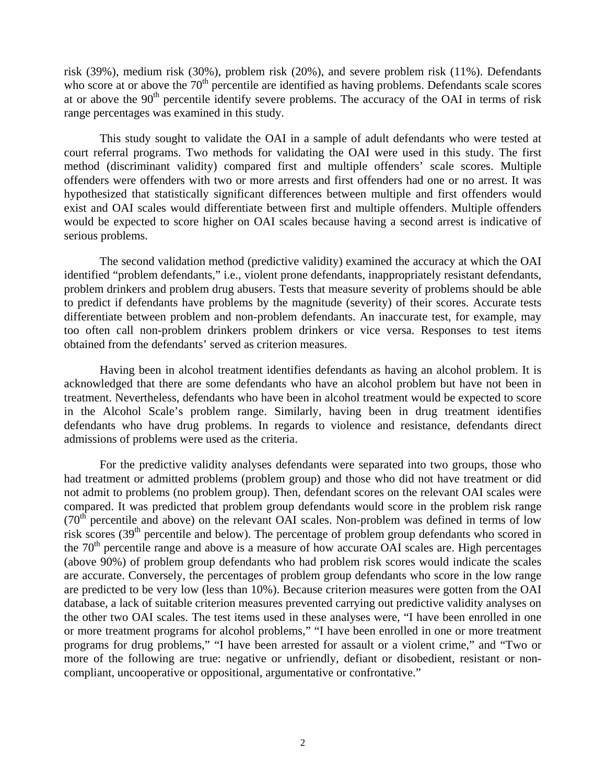risk (39%), medium risk (30%), problem risk (20%), and severe problem risk (11%). Defendants who score at or above the  $70<sup>th</sup>$  percentile are identified as having problems. Defendants scale scores at or above the 90<sup>th</sup> percentile identify severe problems. The accuracy of the OAI in terms of risk range percentages was examined in this study.

 This study sought to validate the OAI in a sample of adult defendants who were tested at court referral programs. Two methods for validating the OAI were used in this study. The first method (discriminant validity) compared first and multiple offenders' scale scores. Multiple offenders were offenders with two or more arrests and first offenders had one or no arrest. It was hypothesized that statistically significant differences between multiple and first offenders would exist and OAI scales would differentiate between first and multiple offenders. Multiple offenders would be expected to score higher on OAI scales because having a second arrest is indicative of serious problems.

 The second validation method (predictive validity) examined the accuracy at which the OAI identified "problem defendants," i.e., violent prone defendants, inappropriately resistant defendants, problem drinkers and problem drug abusers. Tests that measure severity of problems should be able to predict if defendants have problems by the magnitude (severity) of their scores. Accurate tests differentiate between problem and non-problem defendants. An inaccurate test, for example, may too often call non-problem drinkers problem drinkers or vice versa. Responses to test items obtained from the defendants' served as criterion measures.

Having been in alcohol treatment identifies defendants as having an alcohol problem. It is acknowledged that there are some defendants who have an alcohol problem but have not been in treatment. Nevertheless, defendants who have been in alcohol treatment would be expected to score in the Alcohol Scale's problem range. Similarly, having been in drug treatment identifies defendants who have drug problems. In regards to violence and resistance, defendants direct admissions of problems were used as the criteria.

 For the predictive validity analyses defendants were separated into two groups, those who had treatment or admitted problems (problem group) and those who did not have treatment or did not admit to problems (no problem group). Then, defendant scores on the relevant OAI scales were compared. It was predicted that problem group defendants would score in the problem risk range  $(70<sup>th</sup>$  percentile and above) on the relevant OAI scales. Non-problem was defined in terms of low risk scores  $(39<sup>th</sup>$  percentile and below). The percentage of problem group defendants who scored in the  $70<sup>th</sup>$  percentile range and above is a measure of how accurate OAI scales are. High percentages (above 90%) of problem group defendants who had problem risk scores would indicate the scales are accurate. Conversely, the percentages of problem group defendants who score in the low range are predicted to be very low (less than 10%). Because criterion measures were gotten from the OAI database, a lack of suitable criterion measures prevented carrying out predictive validity analyses on the other two OAI scales. The test items used in these analyses were, "I have been enrolled in one or more treatment programs for alcohol problems," "I have been enrolled in one or more treatment programs for drug problems," "I have been arrested for assault or a violent crime," and "Two or more of the following are true: negative or unfriendly, defiant or disobedient, resistant or noncompliant, uncooperative or oppositional, argumentative or confrontative."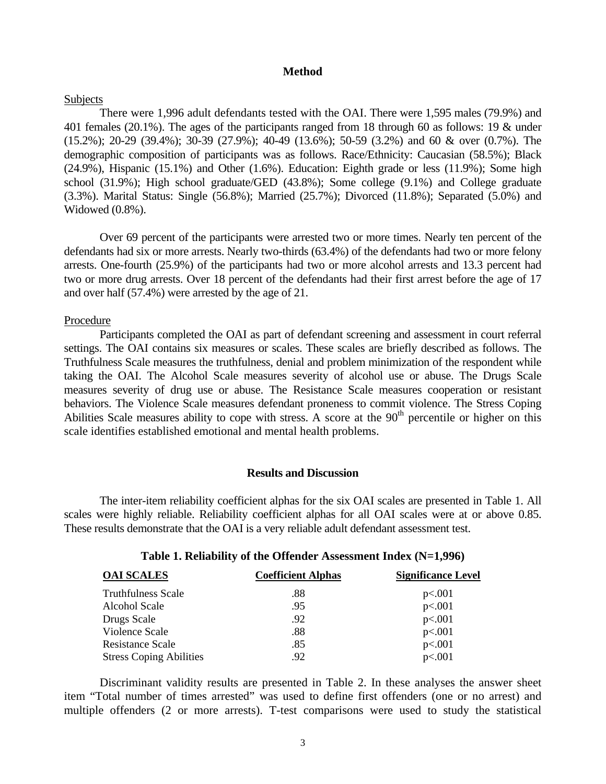## **Method**

#### Subjects

 There were 1,996 adult defendants tested with the OAI. There were 1,595 males (79.9%) and 401 females (20.1%). The ages of the participants ranged from 18 through 60 as follows: 19 & under (15.2%); 20-29 (39.4%); 30-39 (27.9%); 40-49 (13.6%); 50-59 (3.2%) and 60 & over (0.7%). The demographic composition of participants was as follows. Race/Ethnicity: Caucasian (58.5%); Black (24.9%), Hispanic (15.1%) and Other (1.6%). Education: Eighth grade or less (11.9%); Some high school (31.9%); High school graduate/GED (43.8%); Some college (9.1%) and College graduate (3.3%). Marital Status: Single (56.8%); Married (25.7%); Divorced (11.8%); Separated (5.0%) and Widowed (0.8%).

 Over 69 percent of the participants were arrested two or more times. Nearly ten percent of the defendants had six or more arrests. Nearly two-thirds (63.4%) of the defendants had two or more felony arrests. One-fourth (25.9%) of the participants had two or more alcohol arrests and 13.3 percent had two or more drug arrests. Over 18 percent of the defendants had their first arrest before the age of 17 and over half (57.4%) were arrested by the age of 21.

#### Procedure

 Participants completed the OAI as part of defendant screening and assessment in court referral settings. The OAI contains six measures or scales. These scales are briefly described as follows. The Truthfulness Scale measures the truthfulness, denial and problem minimization of the respondent while taking the OAI. The Alcohol Scale measures severity of alcohol use or abuse. The Drugs Scale measures severity of drug use or abuse. The Resistance Scale measures cooperation or resistant behaviors. The Violence Scale measures defendant proneness to commit violence. The Stress Coping Abilities Scale measures ability to cope with stress. A score at the  $90<sup>th</sup>$  percentile or higher on this scale identifies established emotional and mental health problems.

## **Results and Discussion**

 The inter-item reliability coefficient alphas for the six OAI scales are presented in Table 1. All scales were highly reliable. Reliability coefficient alphas for all OAI scales were at or above 0.85. These results demonstrate that the OAI is a very reliable adult defendant assessment test.

| <b>OAI SCALES</b>              | <b>Coefficient Alphas</b> | <b>Significance Level</b> |  |  |
|--------------------------------|---------------------------|---------------------------|--|--|
| <b>Truthfulness Scale</b>      | .88                       | p<.001                    |  |  |
| Alcohol Scale                  | .95                       | p<.001                    |  |  |
| Drugs Scale                    | .92                       | p<.001                    |  |  |
| Violence Scale                 | .88                       | p<.001                    |  |  |
| Resistance Scale               | .85                       | p<.001                    |  |  |
| <b>Stress Coping Abilities</b> | .92                       | p<.001                    |  |  |

## **Table 1. Reliability of the Offender Assessment Index (N=1,996)**

Discriminant validity results are presented in Table 2. In these analyses the answer sheet item "Total number of times arrested" was used to define first offenders (one or no arrest) and multiple offenders (2 or more arrests). T-test comparisons were used to study the statistical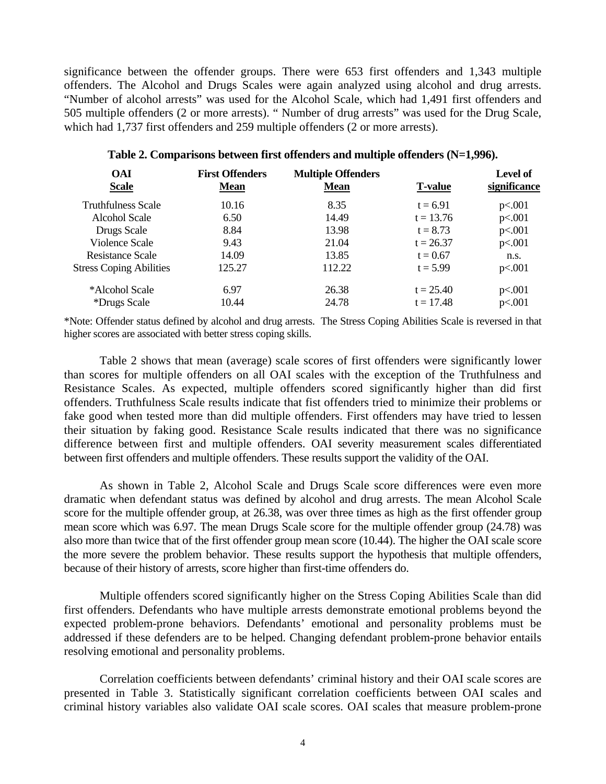significance between the offender groups. There were 653 first offenders and 1,343 multiple offenders. The Alcohol and Drugs Scales were again analyzed using alcohol and drug arrests. "Number of alcohol arrests" was used for the Alcohol Scale, which had 1,491 first offenders and 505 multiple offenders (2 or more arrests). " Number of drug arrests" was used for the Drug Scale, which had 1,737 first offenders and 259 multiple offenders (2 or more arrests).

| <b>First Offenders</b><br><b>Mean</b> | <b>Multiple Offenders</b><br><b>Mean</b> | <b>T-value</b> | <b>Level of</b><br>significance |  |
|---------------------------------------|------------------------------------------|----------------|---------------------------------|--|
| 10.16                                 | 8.35                                     | $t = 6.91$     | p<.001                          |  |
| 6.50                                  | 14.49                                    | $t = 13.76$    | p<.001                          |  |
| 8.84                                  | 13.98                                    | $t = 8.73$     | p<.001                          |  |
| 9.43                                  | 21.04                                    | $t = 26.37$    | p<.001                          |  |
| 14.09                                 | 13.85                                    | $t = 0.67$     | n.s.                            |  |
| 125.27                                | 112.22                                   | $t = 5.99$     | p<.001                          |  |
| 6.97                                  | 26.38                                    | $t = 25.40$    | p<.001                          |  |
| 10.44                                 | 24.78                                    | $t = 17.48$    | p<.001                          |  |
|                                       |                                          |                |                                 |  |

## **Table 2. Comparisons between first offenders and multiple offenders (N=1,996).**

\*Note: Offender status defined by alcohol and drug arrests. The Stress Coping Abilities Scale is reversed in that higher scores are associated with better stress coping skills.

 Table 2 shows that mean (average) scale scores of first offenders were significantly lower than scores for multiple offenders on all OAI scales with the exception of the Truthfulness and Resistance Scales. As expected, multiple offenders scored significantly higher than did first offenders. Truthfulness Scale results indicate that fist offenders tried to minimize their problems or fake good when tested more than did multiple offenders. First offenders may have tried to lessen their situation by faking good. Resistance Scale results indicated that there was no significance difference between first and multiple offenders. OAI severity measurement scales differentiated between first offenders and multiple offenders. These results support the validity of the OAI.

As shown in Table 2, Alcohol Scale and Drugs Scale score differences were even more dramatic when defendant status was defined by alcohol and drug arrests. The mean Alcohol Scale score for the multiple offender group, at 26.38, was over three times as high as the first offender group mean score which was 6.97. The mean Drugs Scale score for the multiple offender group (24.78) was also more than twice that of the first offender group mean score (10.44). The higher the OAI scale score the more severe the problem behavior. These results support the hypothesis that multiple offenders, because of their history of arrests, score higher than first-time offenders do.

Multiple offenders scored significantly higher on the Stress Coping Abilities Scale than did first offenders. Defendants who have multiple arrests demonstrate emotional problems beyond the expected problem-prone behaviors. Defendants' emotional and personality problems must be addressed if these defenders are to be helped. Changing defendant problem-prone behavior entails resolving emotional and personality problems.

 Correlation coefficients between defendants' criminal history and their OAI scale scores are presented in Table 3. Statistically significant correlation coefficients between OAI scales and criminal history variables also validate OAI scale scores. OAI scales that measure problem-prone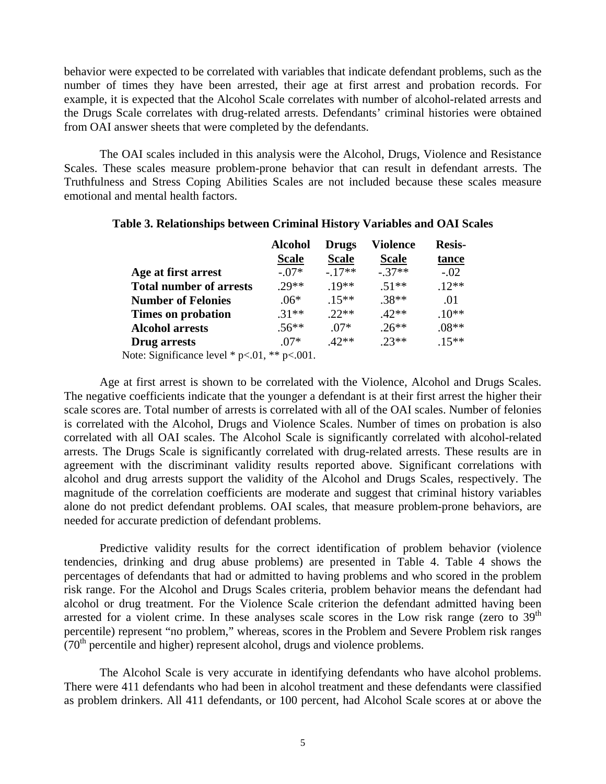behavior were expected to be correlated with variables that indicate defendant problems, such as the number of times they have been arrested, their age at first arrest and probation records. For example, it is expected that the Alcohol Scale correlates with number of alcohol-related arrests and the Drugs Scale correlates with drug-related arrests. Defendants' criminal histories were obtained from OAI answer sheets that were completed by the defendants.

The OAI scales included in this analysis were the Alcohol, Drugs, Violence and Resistance Scales. These scales measure problem-prone behavior that can result in defendant arrests. The Truthfulness and Stress Coping Abilities Scales are not included because these scales measure emotional and mental health factors.

|                                                  | <b>Alcohol</b> | <b>Drugs</b> | <b>Violence</b> | <b>Resis-</b> |  |
|--------------------------------------------------|----------------|--------------|-----------------|---------------|--|
|                                                  | <b>Scale</b>   | <b>Scale</b> | <b>Scale</b>    | tance         |  |
| Age at first arrest                              | $-.07*$        | $-.17**$     | $-.37**$        | $-.02$        |  |
| <b>Total number of arrests</b>                   | $.29**$        | $.19**$      | $.51**$         | $.12**$       |  |
| <b>Number of Felonies</b>                        | $.06*$         | $.15***$     | $.38**$         | .01           |  |
| Times on probation                               | $.31**$        | $22**$       | $42**$          | $.10**$       |  |
| <b>Alcohol arrests</b>                           | $.56**$        | $.07*$       | $.26**$         | $.08**$       |  |
| Drug arrests                                     | $.07*$         | $.42**$      | $.23**$         | $.15***$      |  |
| Note: Significance level $*$ p<.01, $**$ p<.001. |                |              |                 |               |  |

### **Table 3. Relationships between Criminal History Variables and OAI Scales**

Age at first arrest is shown to be correlated with the Violence, Alcohol and Drugs Scales. The negative coefficients indicate that the younger a defendant is at their first arrest the higher their scale scores are. Total number of arrests is correlated with all of the OAI scales. Number of felonies is correlated with the Alcohol, Drugs and Violence Scales. Number of times on probation is also correlated with all OAI scales. The Alcohol Scale is significantly correlated with alcohol-related arrests. The Drugs Scale is significantly correlated with drug-related arrests. These results are in agreement with the discriminant validity results reported above. Significant correlations with alcohol and drug arrests support the validity of the Alcohol and Drugs Scales, respectively. The magnitude of the correlation coefficients are moderate and suggest that criminal history variables alone do not predict defendant problems. OAI scales, that measure problem-prone behaviors, are needed for accurate prediction of defendant problems.

 Predictive validity results for the correct identification of problem behavior (violence tendencies, drinking and drug abuse problems) are presented in Table 4. Table 4 shows the percentages of defendants that had or admitted to having problems and who scored in the problem risk range. For the Alcohol and Drugs Scales criteria, problem behavior means the defendant had alcohol or drug treatment. For the Violence Scale criterion the defendant admitted having been arrested for a violent crime. In these analyses scale scores in the Low risk range (zero to  $39<sup>th</sup>$ percentile) represent "no problem," whereas, scores in the Problem and Severe Problem risk ranges  $(70<sup>th</sup>$  percentile and higher) represent alcohol, drugs and violence problems.

The Alcohol Scale is very accurate in identifying defendants who have alcohol problems. There were 411 defendants who had been in alcohol treatment and these defendants were classified as problem drinkers. All 411 defendants, or 100 percent, had Alcohol Scale scores at or above the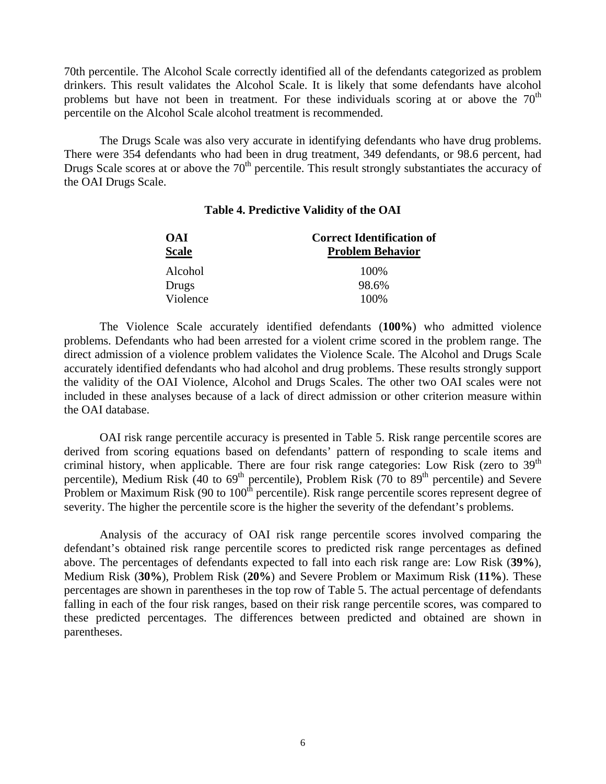70th percentile. The Alcohol Scale correctly identified all of the defendants categorized as problem drinkers. This result validates the Alcohol Scale. It is likely that some defendants have alcohol problems but have not been in treatment. For these individuals scoring at or above the  $70<sup>th</sup>$ percentile on the Alcohol Scale alcohol treatment is recommended.

The Drugs Scale was also very accurate in identifying defendants who have drug problems. There were 354 defendants who had been in drug treatment, 349 defendants, or 98.6 percent, had Drugs Scale scores at or above the  $70<sup>th</sup>$  percentile. This result strongly substantiates the accuracy of the OAI Drugs Scale.

# **Table 4. Predictive Validity of the OAI**

| <b>OAI</b>   | <b>Correct Identification of</b> |  |  |  |
|--------------|----------------------------------|--|--|--|
| <b>Scale</b> | <b>Problem Behavior</b>          |  |  |  |
| Alcohol      | 100\%                            |  |  |  |
| Drugs        | 98.6%                            |  |  |  |
| Violence     | 100%                             |  |  |  |

 The Violence Scale accurately identified defendants (**100%**) who admitted violence problems. Defendants who had been arrested for a violent crime scored in the problem range. The direct admission of a violence problem validates the Violence Scale. The Alcohol and Drugs Scale accurately identified defendants who had alcohol and drug problems. These results strongly support the validity of the OAI Violence, Alcohol and Drugs Scales. The other two OAI scales were not included in these analyses because of a lack of direct admission or other criterion measure within the OAI database.

OAI risk range percentile accuracy is presented in Table 5. Risk range percentile scores are derived from scoring equations based on defendants' pattern of responding to scale items and criminal history, when applicable. There are four risk range categories: Low Risk (zero to 39<sup>th</sup> percentile), Medium Risk (40 to  $69<sup>th</sup>$  percentile), Problem Risk (70 to  $89<sup>th</sup>$  percentile) and Severe Problem or Maximum Risk (90 to  $100<sup>th</sup>$  percentile). Risk range percentile scores represent degree of severity. The higher the percentile score is the higher the severity of the defendant's problems.

Analysis of the accuracy of OAI risk range percentile scores involved comparing the defendant's obtained risk range percentile scores to predicted risk range percentages as defined above. The percentages of defendants expected to fall into each risk range are: Low Risk (**39%**), Medium Risk (**30%**), Problem Risk (**20%**) and Severe Problem or Maximum Risk (**11%**). These percentages are shown in parentheses in the top row of Table 5. The actual percentage of defendants falling in each of the four risk ranges, based on their risk range percentile scores, was compared to these predicted percentages. The differences between predicted and obtained are shown in parentheses.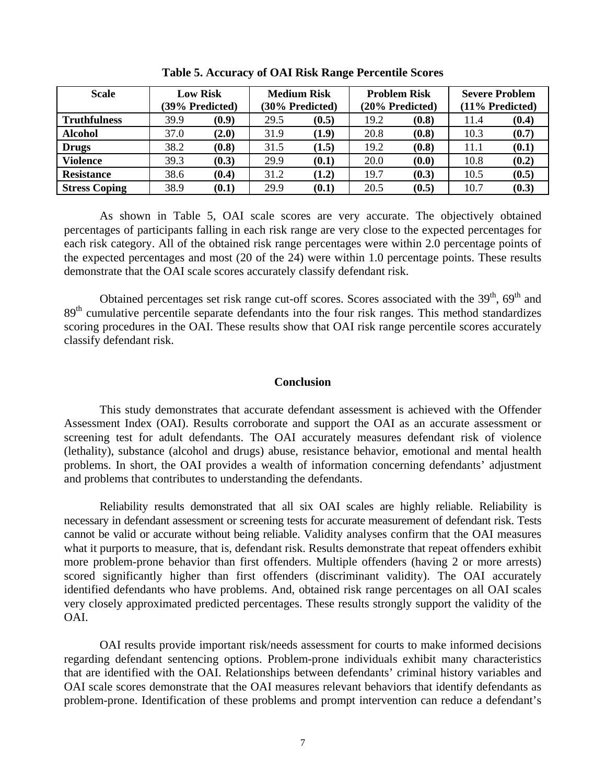| <b>Scale</b>         | <b>Low Risk</b> |       | <b>Medium Risk</b> |       | <b>Problem Risk</b> |       | <b>Severe Problem</b> |       |
|----------------------|-----------------|-------|--------------------|-------|---------------------|-------|-----------------------|-------|
|                      | (39% Predicted) |       | (30% Predicted)    |       | (20% Predicted)     |       | (11% Predicted)       |       |
| <b>Truthfulness</b>  | 39.9            | (0.9) | 29.5               | (0.5) | 19.2                | (0.8) | 11.4                  | (0.4) |
| <b>Alcohol</b>       | 37.0            | (2.0) | 31.9               | (1.9) | 20.8                | (0.8) | 10.3                  | (0.7) |
| <b>Drugs</b>         | 38.2            | (0.8) | 31.5               | (1.5) | 19.2                | (0.8) | 11.1                  | (0.1) |
| <b>Violence</b>      | 39.3            | (0.3) | 29.9               | (0.1) | 20.0                | (0.0) | 10.8                  | (0.2) |
| <b>Resistance</b>    | 38.6            | (0.4) | 31.2               | (1.2) | 19.7                | (0.3) | 10.5                  | (0.5) |
| <b>Stress Coping</b> | 38.9            | (0.1) | 29.9               | (0.1) | 20.5                | (0.5) | 10.7                  | (0.3) |

**Table 5. Accuracy of OAI Risk Range Percentile Scores** 

As shown in Table 5, OAI scale scores are very accurate. The objectively obtained percentages of participants falling in each risk range are very close to the expected percentages for each risk category. All of the obtained risk range percentages were within 2.0 percentage points of the expected percentages and most (20 of the 24) were within 1.0 percentage points. These results demonstrate that the OAI scale scores accurately classify defendant risk.

Obtained percentages set risk range cut-off scores. Scores associated with the  $39<sup>th</sup>$ ,  $69<sup>th</sup>$  and 89<sup>th</sup> cumulative percentile separate defendants into the four risk ranges. This method standardizes scoring procedures in the OAI. These results show that OAI risk range percentile scores accurately classify defendant risk.

## **Conclusion**

This study demonstrates that accurate defendant assessment is achieved with the Offender Assessment Index (OAI). Results corroborate and support the OAI as an accurate assessment or screening test for adult defendants. The OAI accurately measures defendant risk of violence (lethality), substance (alcohol and drugs) abuse, resistance behavior, emotional and mental health problems. In short, the OAI provides a wealth of information concerning defendants' adjustment and problems that contributes to understanding the defendants.

 Reliability results demonstrated that all six OAI scales are highly reliable. Reliability is necessary in defendant assessment or screening tests for accurate measurement of defendant risk. Tests cannot be valid or accurate without being reliable. Validity analyses confirm that the OAI measures what it purports to measure, that is, defendant risk. Results demonstrate that repeat offenders exhibit more problem-prone behavior than first offenders. Multiple offenders (having 2 or more arrests) scored significantly higher than first offenders (discriminant validity). The OAI accurately identified defendants who have problems. And, obtained risk range percentages on all OAI scales very closely approximated predicted percentages. These results strongly support the validity of the OAI.

OAI results provide important risk/needs assessment for courts to make informed decisions regarding defendant sentencing options. Problem-prone individuals exhibit many characteristics that are identified with the OAI. Relationships between defendants' criminal history variables and OAI scale scores demonstrate that the OAI measures relevant behaviors that identify defendants as problem-prone. Identification of these problems and prompt intervention can reduce a defendant's